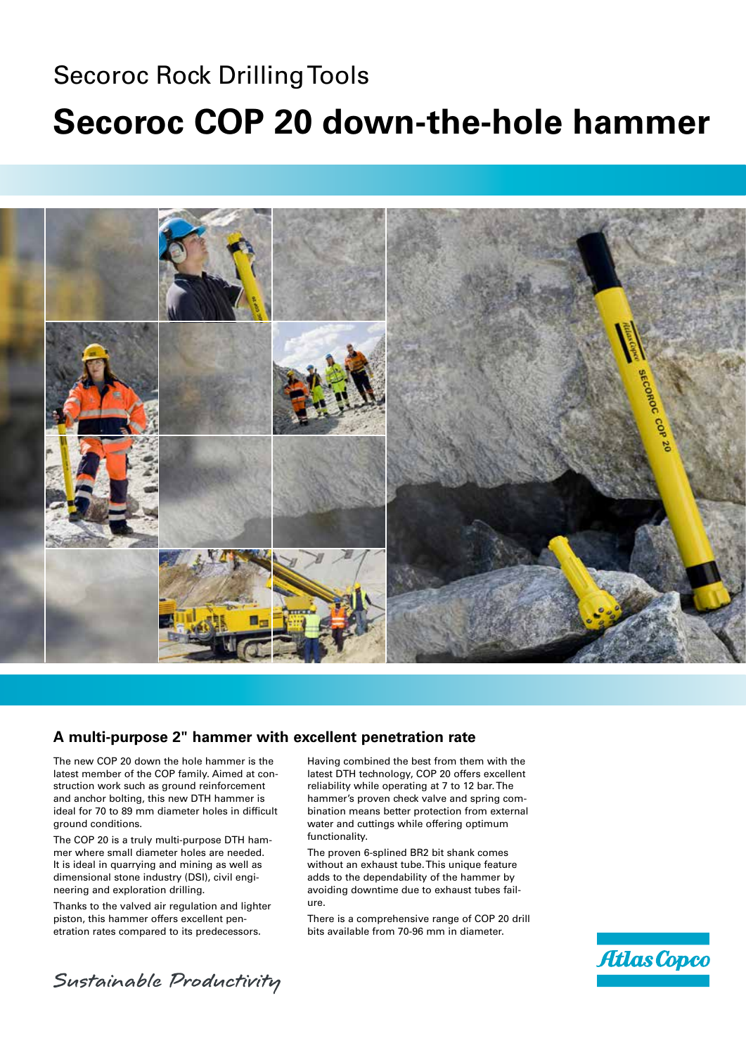## Secoroc Rock Drilling Tools **Secoroc COP 20 down-the-hole hammer**



## **A multi-purpose 2" hammer with excellent penetration rate**

The new COP 20 down the hole hammer is the latest member of the COP family. Aimed at construction work such as ground reinforcement and anchor bolting, this new DTH hammer is ideal for 70 to 89 mm diameter holes in difficult ground conditions.

The COP 20 is a truly multi-purpose DTH hammer where small diameter holes are needed. It is ideal in quarrying and mining as well as dimensional stone industry (DSI), civil engineering and exploration drilling.

Thanks to the valved air regulation and lighter piston, this hammer offers excellent penetration rates compared to its predecessors.

Having combined the best from them with the latest DTH technology, COP 20 offers excellent reliability while operating at 7 to 12 bar. The hammer's proven check valve and spring combination means better protection from external water and cuttings while offering optimum functionality.

The proven 6-splined BR2 bit shank comes without an exhaust tube. This unique feature adds to the dependability of the hammer by avoiding downtime due to exhaust tubes failure.

There is a comprehensive range of COP 20 drill bits available from 70-96 mm in diameter.